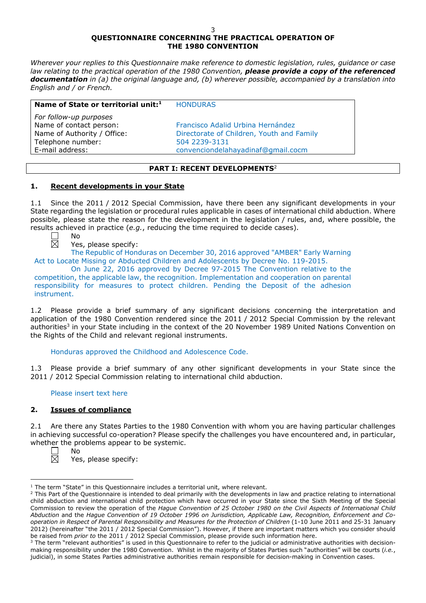# **QUESTIONNAIRE CONCERNING THE PRACTICAL OPERATION OF THE 1980 CONVENTION**

*Wherever your replies to this Questionnaire make reference to domestic legislation, rules, guidance or case law relating to the practical operation of the 1980 Convention, please provide a copy of the referenced documentation in (a) the original language and, (b) wherever possible, accompanied by a translation into English and / or French.* 

| Name of State or territorial unit: <sup>1</sup>   | <b>HONDURAS</b>                           |
|---------------------------------------------------|-------------------------------------------|
| For follow-up purposes<br>Name of contact person: | Francisco Adalid Urbina Hernández         |
| Name of Authority / Office:                       | Directorate of Children, Youth and Family |
| Telephone number:                                 | 504 2239-3131                             |
| E-mail address:                                   | convenciondelahayadinaf@gmail.cocm        |

# **PART I: RECENT DEVELOPMENTS**<sup>2</sup>

# **1. Recent developments in your State**

1.1 Since the 2011 / 2012 Special Commission, have there been any significant developments in your State regarding the legislation or procedural rules applicable in cases of international child abduction. Where possible, please state the reason for the development in the legislation / rules, and, where possible, the results achieved in practice (*e.g.*, reducing the time required to decide cases).  $N<sub>0</sub>$ 

# Yes, please specify:

The Republic of Honduras on December 30, 2016 approved "AMBER" Early Warning Act to Locate Missing or Abducted Children and Adolescents by Decree No. 119-2015.

On June 22, 2016 approved by Decree 97-2015 The Convention relative to the competition, the applicable law, the recognition. Implementation and cooperation on parental responsibility for measures to protect children. Pending the Deposit of the adhesion instrument.

1.2 Please provide a brief summary of any significant decisions concerning the interpretation and application of the 1980 Convention rendered since the 2011 / 2012 Special Commission by the relevant authorities<sup>3</sup> in your State including in the context of the 20 November 1989 United Nations Convention on the Rights of the Child and relevant regional instruments.

Honduras approved the Childhood and Adolescence Code.

1.3 Please provide a brief summary of any other significant developments in your State since the 2011 / 2012 Special Commission relating to international child abduction.

# Please insert text here

# **2. Issues of compliance**

No

2.1 Are there any States Parties to the 1980 Convention with whom you are having particular challenges in achieving successful co-operation? Please specify the challenges you have encountered and, in particular, whether the problems appear to be systemic.

Yes, please specify:

 $\overline{a}$  $1$  The term "State" in this Questionnaire includes a territorial unit, where relevant.

<sup>&</sup>lt;sup>2</sup> This Part of the Questionnaire is intended to deal primarily with the developments in law and practice relating to international child abduction and international child protection which have occurred in your State since the Sixth Meeting of the Special Commission to review the operation of the *Hague Convention of 25 October 1980 on the Civil Aspects of International Child Abduction* and the *Hague Convention of 19 October 1996 on Jurisdiction, Applicable Law, Recognition, Enforcement and Cooperation in Respect of Parental Responsibility and Measures for the Protection of Children* (1-10 June 2011 and 25-31 January 2012) (hereinafter "the 2011 / 2012 Special Commission"). However, if there are important matters which you consider should be raised from *prior to* the 2011 / 2012 Special Commission, please provide such information here.

<sup>&</sup>lt;sup>3</sup> The term "relevant authorities" is used in this Questionnaire to refer to the judicial or administrative authorities with decisionmaking responsibility under the 1980 Convention. Whilst in the majority of States Parties such "authorities" will be courts (*i.e.*, judicial), in some States Parties administrative authorities remain responsible for decision-making in Convention cases.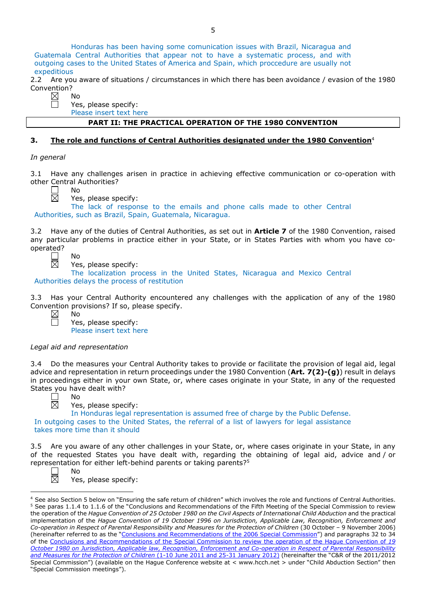Honduras has been having some comunication issues with Brazil, Nicaragua and Guatemala Central Authorities that appear not to have a systematic process, and with outgoing cases to the United States of America and Spain, which proccedure are usually not expeditious

2.2 Are you aware of situations / circumstances in which there has been avoidance / evasion of the 1980 Convention?

| No      |
|---------|
| Ċ<br>ρ٥ |

Yes, please specify:

Please insert text here

# **PART II: THE PRACTICAL OPERATION OF THE 1980 CONVENTION**

# **3. The role and functions of Central Authorities designated under the 1980 Convention**<sup>4</sup>

*In general*

3.1 Have any challenges arisen in practice in achieving effective communication or co-operation with other Central Authorities?

 $\Box$ 区

No Yes, please specify:

The lack of response to the emails and phone calls made to other Central Authorities, such as Brazil, Spain, Guatemala, Nicaragua.

3.2 Have any of the duties of Central Authorities, as set out in **Article 7** of the 1980 Convention, raised any particular problems in practice either in your State, or in States Parties with whom you have cooperated? No

Yes, please specify:

The localization process in the United States, Nicaragua and Mexico Central Authorities delays the process of restitution

3.3 Has your Central Authority encountered any challenges with the application of any of the 1980 Convention provisions? If so, please specify.

Yes, please specify: Please insert text here

# *Legal aid and representation*

No

 $N<sub>0</sub>$ 

3.4 Do the measures your Central Authority takes to provide or facilitate the provision of legal aid, legal advice and representation in return proceedings under the 1980 Convention (**Art. 7(2)-(g)**) result in delays in proceedings either in your own State, or, where cases originate in your State, in any of the requested States you have dealt with?



Yes, please specify:

In Honduras legal representation is assumed free of charge by the Public Defense. In outgoing cases to the United States, the referral of a list of lawyers for legal assistance takes more time than it should

3.5 Are you aware of any other challenges in your State, or, where cases originate in your State, in any of the requested States you have dealt with, regarding the obtaining of legal aid, advice and / or representation for either left-behind parents or taking parents?5

 $\overline{a}$ 

No Yes, please specify:

<sup>&</sup>lt;sup>4</sup> See also Section 5 below on "Ensuring the safe return of children" which involves the role and functions of Central Authorities. <sup>5</sup> See paras 1.1.4 to 1.1.6 of the "Conclusions and Recommendations of the Fifth Meeting of the Special Commission to review the operation of the *Hague Convention of 25 October 1980 on the Civil Aspects of International Child Abduction* and the practical implementation of the *Hague Convention of 19 October 1996 on Jurisdiction, Applicable Law, Recognition, Enforcement and Co-operation in Respect of Parental Responsibility and Measures for the Protection of Children* (30 October – 9 November 2006) (hereinafter referred to as the ["Conclusions and Recommendations of the 2006 Special Commission"](https://assets.hcch.net/upload/concl28sc5_e.pdf)) and paragraphs 32 to 34 of the [Conclusions and Recommendations of the Special Commission](https://assets.hcch.net/upload/wop/concl28sc6_e.pdf) to review the operation of the Hague Convention of *19 [October 1980 on Jurisdiction, Applicable law, Recognition, Enforcement and Co-operation in Respect of Parental Responsibility](https://assets.hcch.net/upload/wop/concl28sc6_e.pdf)  [and Measures for the Protection of Children](https://assets.hcch.net/upload/wop/concl28sc6_e.pdf)* (1-10 June 2011 and 25-31 January 2012) (hereinafter the "C&R of the 2011/2012 Special Commission") (available on the Hague Conference website at < www.hcch.net > under "Child Abduction Section" then "Special Commission meetings").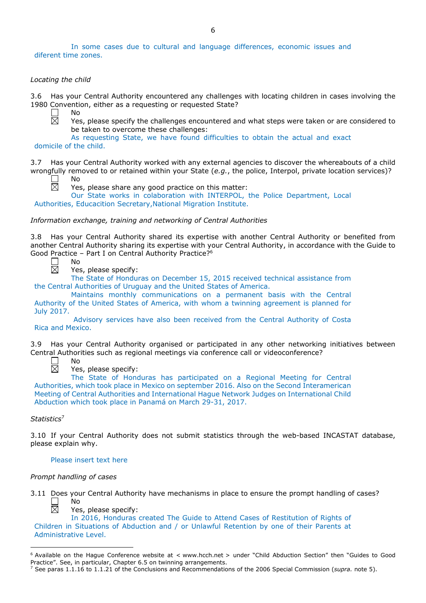In some cases due to cultural and language differences, economic issues and diferent time zones.

## *Locating the child*

3.6 Has your Central Authority encountered any challenges with locating children in cases involving the 1980 Convention, either as a requesting or requested State?

No 岗

Yes, please specify the challenges encountered and what steps were taken or are considered to be taken to overcome these challenges:

As requesting State, we have found difficulties to obtain the actual and exact domicile of the child.

3.7 Has your Central Authority worked with any external agencies to discover the whereabouts of a child wrongfully removed to or retained within your State (*e.g.*, the police, Interpol, private location services)?

No

Yes, please share any good practice on this matter:

Our State works in colaboration with INTERPOL, the Police Department, Local Authorities, Educacition Secretary,National Migration Institute.

*Information exchange, training and networking of Central Authorities*

3.8 Has your Central Authority shared its expertise with another Central Authority or benefited from another Central Authority sharing its expertise with your Central Authority, in accordance with the Guide to Good Practice – Part I on Central Authority Practice?<sup>6</sup><br>  $\Box$  No<br>  $\boxtimes$  Yes, please specify: No



Yes, please specify:

The State of Honduras on December 15, 2015 received technical assistance from the Central Authorities of Uruguay and the United States of America.

Maintains monthly communications on a permanent basis with the Central Authority of the United States of America, with whom a twinning agreement is planned for July 2017.

Advisory services have also been received from the Central Authority of Costa Rica and Mexico.

3.9 Has your Central Authority organised or participated in any other networking initiatives between Central Authorities such as regional meetings via conference call or videoconference?

 $\Box$ 闵

No

Yes, please specify:

The State of Honduras has participated on a Regional Meeting for Central Authorities, which took place in Mexico on september 2016. Also on the Second Interamerican Meeting of Central Authorities and International Hague Network Judges on International Child Abduction which took place in Panamá on March 29-31, 2017.

# *Statistics*<sup>7</sup>

 $\overline{a}$ 

3.10 If your Central Authority does not submit statistics through the web-based INCASTAT database, please explain why.

### Please insert text here

### *Prompt handling of cases*

3.11 Does your Central Authority have mechanisms in place to ensure the prompt handling of cases?  $\Box$ No 岗



In 2016, Honduras created The Guide to Attend Cases of Restitution of Rights of Children in Situations of Abduction and / or Unlawful Retention by one of their Parents at Administrative Level.

 $6$  Available on the Hague Conference website at  $\lt$  www.hcch.net  $>$  under "Child Abduction Section" then "Guides to Good Practice". See, in particular, Chapter 6.5 on twinning arrangements.

<sup>7</sup> See paras 1.1.16 to 1.1.21 of the Conclusions and Recommendations of the 2006 Special Commission (*supra.* note 5).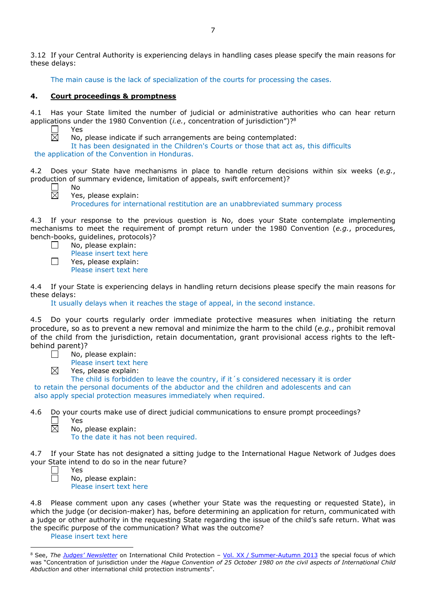3.12 If your Central Authority is experiencing delays in handling cases please specify the main reasons for these delays:

The main cause is the lack of specialization of the courts for processing the cases.

# **4. Court proceedings & promptness**

4.1 Has your State limited the number of judicial or administrative authorities who can hear return applications under the 1980 Convention (*i.e.*, concentration of jurisdiction")?<sup>8</sup><br>  $\square$  Yes<br>
No, please indicate if such arrangements are being contemplated:

Yes

No

No, please indicate if such arrangements are being contemplated:

It has been designated in the Children's Courts or those that act as, this difficults the application of the Convention in Honduras.

4.2 Does your State have mechanisms in place to handle return decisions within six weeks (*e.g.*, production of summary evidence, limitation of appeals, swift enforcement)?

 $\boxtimes$ 

Yes, please explain:

Procedures for international restitution are an unabbreviated summary process

4.3 If your response to the previous question is No, does your State contemplate implementing mechanisms to meet the requirement of prompt return under the 1980 Convention (*e.g.*, procedures, bench-books, guidelines, protocols)?

 $\Box$ No, please explain:

Please insert text here  $\Box$ Yes, please explain: Please insert text here

4.4 If your State is experiencing delays in handling return decisions please specify the main reasons for these delays:

It usually delays when it reaches the stage of appeal, in the second instance.

Do your courts regularly order immediate protective measures when initiating the return procedure, so as to prevent a new removal and minimize the harm to the child (*e.g.*, prohibit removal of the child from the jurisdiction, retain documentation, grant provisional access rights to the leftbehind parent)? No, please explain:

 $\boxtimes$ 

 $\boxtimes$ 

Please insert text here

Yes, please explain:

The child is forbidden to leave the country, if it's considered necessary it is order to retain the personal documents of the abductor and the children and adolescents and can also apply special protection measures immediately when required.

4.6 Do your courts make use of direct judicial communications to ensure prompt proceedings?

- $\Box$ Yes
	- No, please explain:

To the date it has not been required.

4.7 If your State has not designated a sitting judge to the International Hague Network of Judges does your State intend to do so in the near future?

 $\overline{a}$ 

Yes

No, please explain: Please insert text here

4.8 Please comment upon any cases (whether your State was the requesting or requested State), in which the judge (or decision-maker) has, before determining an application for return, communicated with a judge or other authority in the requesting State regarding the issue of the child's safe return. What was the specific purpose of the communication? What was the outcome?

### Please insert text here

<sup>8</sup> See, *The [Judges' Newsletter](https://www.hcch.net/en/instruments/conventions/publications2/judges-newsletter)* on International Child Protection – Vol. XX / [Summer-Autumn 2013](https://assets.hcch.net/upload/newsletter/nl2013tome20en.pdf) the special focus of which was "Concentration of jurisdiction under the *Hague Convention of 25 October 1980 on the civil aspects of International Child Abduction* and other international child protection instruments".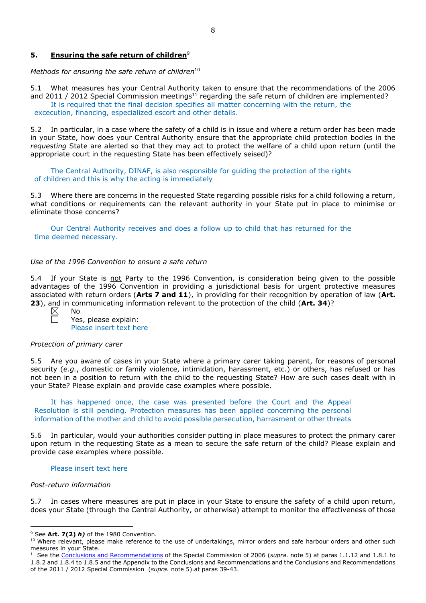# **5. Ensuring the safe return of children**<sup>9</sup>

*Methods for ensuring the safe return of children*<sup>10</sup>

5.1 What measures has your Central Authority taken to ensure that the recommendations of the 2006 and 2011 / 2012 Special Commission meetings<sup>11</sup> regarding the safe return of children are implemented? It is required that the final decision specifies all matter concerning with the return, the excecution, financing, especialized escort and other details.

5.2 In particular, in a case where the safety of a child is in issue and where a return order has been made in your State, how does your Central Authority ensure that the appropriate child protection bodies in the *requesting* State are alerted so that they may act to protect the welfare of a child upon return (until the appropriate court in the requesting State has been effectively seised)?

The Central Authority, DINAF, is also responsible for guiding the protection of the rights of children and this is why the acting is immediately

5.3 Where there are concerns in the requested State regarding possible risks for a child following a return, what conditions or requirements can the relevant authority in your State put in place to minimise or eliminate those concerns?

Our Central Authority receives and does a follow up to child that has returned for the time deemed necessary.

#### *Use of the 1996 Convention to ensure a safe return*

5.4 If your State is not Party to the 1996 Convention, is consideration being given to the possible advantages of the 1996 Convention in providing a jurisdictional basis for urgent protective measures associated with return orders (**Arts 7 and 11**), in providing for their recognition by operation of law (**Art. 23**), and in communicating information relevant to the protection of the child (**Art. 34**)?

Yes, please explain: Please insert text here

#### *Protection of primary carer*

No

5.5 Are you aware of cases in your State where a primary carer taking parent, for reasons of personal security (*e.g.*, domestic or family violence, intimidation, harassment, etc.) or others, has refused or has not been in a position to return with the child to the requesting State? How are such cases dealt with in your State? Please explain and provide case examples where possible.

It has happened once, the case was presented before the Court and the Appeal Resolution is still pending. Protection measures has been applied concerning the personal information of the mother and child to avoid possible persecution, harrasment or other threats

5.6 In particular, would your authorities consider putting in place measures to protect the primary carer upon return in the requesting State as a mean to secure the safe return of the child? Please explain and provide case examples where possible.

#### Please insert text here

#### *Post-return information*

 $\overline{a}$ 

5.7 In cases where measures are put in place in your State to ensure the safety of a child upon return, does your State (through the Central Authority, or otherwise) attempt to monitor the effectiveness of those

<sup>9</sup> See **Art. 7(2)** *h)* of the 1980 Convention.

<sup>&</sup>lt;sup>10</sup> Where relevant, please make reference to the use of undertakings, mirror orders and safe harbour orders and other such measures in your State.

<sup>11</sup> See the [Conclusions and Recommendations](https://assets.hcch.net/upload/concl28sc5_e.pdf) of the Special Commission of 2006 (*supra.* note 5) at paras 1.1.12 and 1.8.1 to 1.8.2 and 1.8.4 to 1.8.5 and the Appendix to the Conclusions and Recommendations and the [Conclusions and Recommendations](https://assets.hcch.net/upload/wop/concl28sc6_e.pdf)  of the 2011 / [2012 Special Commission](https://assets.hcch.net/upload/wop/concl28sc6_e.pdf) (*supra.* note 5).at paras 39-43.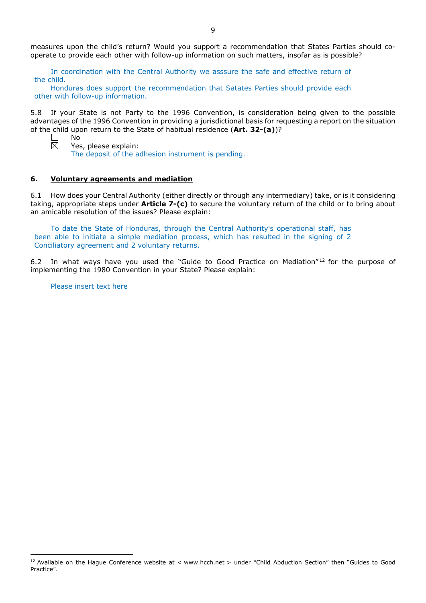measures upon the child's return? Would you support a recommendation that States Parties should cooperate to provide each other with follow-up information on such matters, insofar as is possible?

In coordination with the Central Authority we asssure the safe and effective return of the child.

Honduras does support the recommendation that Satates Parties should provide each other with follow-up information.

5.8 If your State is not Party to the 1996 Convention, is consideration being given to the possible advantages of the 1996 Convention in providing a jurisdictional basis for requesting a report on the situation of the child upon return to the State of habitual residence (**Art. 32-(a)**)? No



 $\overline{a}$ 

Yes, please explain:

The deposit of the adhesion instrument is pending.

#### **6. Voluntary agreements and mediation**

6.1 How does your Central Authority (either directly or through any intermediary) take, or is it considering taking, appropriate steps under **Article 7-(c)** to secure the voluntary return of the child or to bring about an amicable resolution of the issues? Please explain:

To date the State of Honduras, through the Central Authority's operational staff, has been able to initiate a simple mediation process, which has resulted in the signing of 2 Conciliatory agreement and 2 voluntary returns.

6.2 In what ways have you used the "Guide to Good Practice on Mediation"<sup>12</sup> for the purpose of implementing the 1980 Convention in your State? Please explain:

Please insert text here

<sup>&</sup>lt;sup>12</sup> Available on the Hague Conference website at < www.hcch.net > under "Child Abduction Section" then "Guides to Good Practice".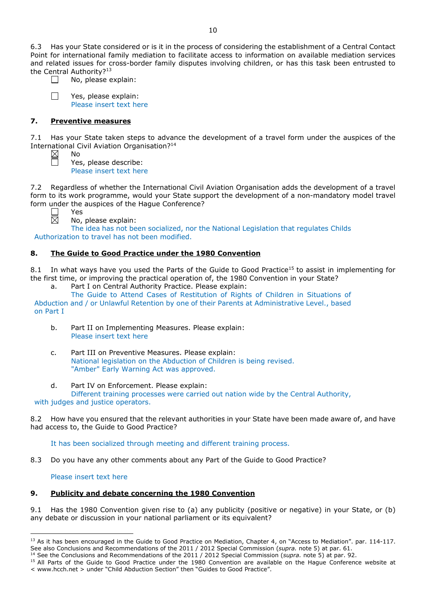6.3 Has your State considered or is it in the process of considering the establishment of a Central Contact Point for international family mediation to facilitate access to information on available mediation services and related issues for cross-border family disputes involving children, or has this task been entrusted to the Central Authority?<sup>13</sup>

 $\Box$ 

No, please explain:

Yes, please explain: Please insert text here

# **7. Preventive measures**

No

Yes

7.1 Has your State taken steps to advance the development of a travel form under the auspices of the International Civil Aviation Organisation?14

Yes, please describe: Please insert text here

7.2 Regardless of whether the International Civil Aviation Organisation adds the development of a travel form to its work programme, would your State support the development of a non-mandatory model travel form under the auspices of the Hague Conference?

No, please explain:

The idea has not been socialized, nor the National Legislation that regulates Childs Authorization to travel has not been modified.

# **8. The Guide to Good Practice under the 1980 Convention**

8.1 In what ways have you used the Parts of the Guide to Good Practice<sup>15</sup> to assist in implementing for the first time, or improving the practical operation of, the 1980 Convention in your State?

a. Part I on Central Authority Practice. Please explain:

The Guide to Attend Cases of Restitution of Rights of Children in Situations of Abduction and / or Unlawful Retention by one of their Parents at Administrative Level., based on Part I

- b. Part II on Implementing Measures. Please explain: Please insert text here
- c. Part III on Preventive Measures. Please explain: National legislation on the Abduction of Children is being revised. "Amber" Early Warning Act was approved.
- d. Part IV on Enforcement. Please explain: Different training processes were carried out nation wide by the Central Authority,

with judges and justice operators.

8.2 How have you ensured that the relevant authorities in your State have been made aware of, and have had access to, the Guide to Good Practice?

It has been socialized through meeting and different training process.

8.3 Do you have any other comments about any Part of the Guide to Good Practice?

Please insert text here

# **9. Publicity and debate concerning the 1980 Convention**

9.1 Has the 1980 Convention given rise to (a) any publicity (positive or negative) in your State, or (b) any debate or discussion in your national parliament or its equivalent?

 $\overline{a}$ <sup>13</sup> As it has been encouraged in the Guide to Good Practice on Mediation, Chapter 4, on "Access to Mediation". par. 114-117. See also [Conclusions and Recommendations of the 2011](https://assets.hcch.net/upload/wop/concl28sc6_e.pdf) / 2012 Special Commission (*supra.* note 5) at par. 61.

<sup>14</sup> See the [Conclusions and Recommendations of the 2011](https://assets.hcch.net/upload/wop/concl28sc6_e.pdf) / 2012 Special Commission (*supra.* note 5) at par. 92.

<sup>&</sup>lt;sup>15</sup> All Parts of the Guide to Good Practice under the 1980 Convention are available on the Hague Conference website at < www.hcch.net > under "Child Abduction Section" then "Guides to Good Practice".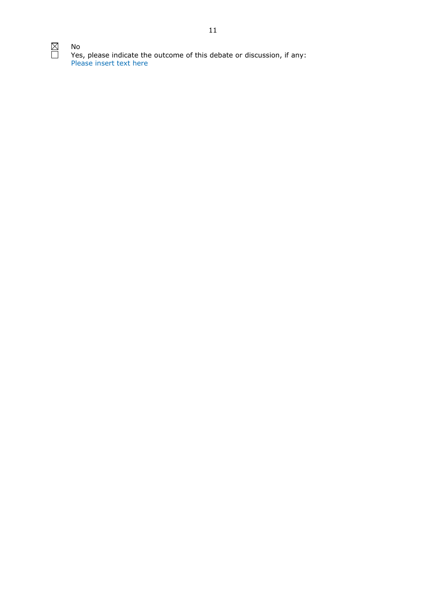$\overline{\mathbb{R}}$ 

No Yes, please indicate the outcome of this debate or discussion, if any: Please insert text here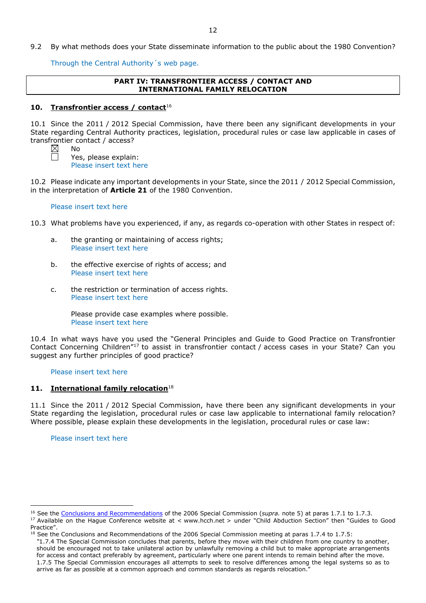9.2 By what methods does your State disseminate information to the public about the 1980 Convention?

Through the Central Authority´s web page.

# **PART IV: TRANSFRONTIER ACCESS / CONTACT AND INTERNATIONAL FAMILY RELOCATION**

# **10. Transfrontier access / contact**<sup>16</sup>

10.1 Since the 2011 / 2012 Special Commission, have there been any significant developments in your State regarding Central Authority practices, legislation, procedural rules or case law applicable in cases of transfrontier contact / access? No

Yes, please explain: Please insert text here

10.2 Please indicate any important developments in your State, since the 2011 / 2012 Special Commission, in the interpretation of **Article 21** of the 1980 Convention.

## Please insert text here

10.3 What problems have you experienced, if any, as regards co-operation with other States in respect of:

- a. the granting or maintaining of access rights; Please insert text here
- b. the effective exercise of rights of access; and Please insert text here
- c. the restriction or termination of access rights. Please insert text here

Please provide case examples where possible. Please insert text here

10.4 In what ways have you used the "General Principles and Guide to Good Practice on Transfrontier Contact Concerning Children"17 to assist in transfrontier contact / access cases in your State? Can you suggest any further principles of good practice?

# Please insert text here

# **11. International family relocation**<sup>18</sup>

11.1 Since the 2011 / 2012 Special Commission, have there been any significant developments in your State regarding the legislation, procedural rules or case law applicable to international family relocation? Where possible, please explain these developments in the legislation, procedural rules or case law:

Please insert text here

 $\overline{a}$ 

<sup>&</sup>lt;sup>16</sup> See the [Conclusions and Recommendations](https://assets.hcch.net/upload/concl28sc5_e.pdf) of the 2006 Special Commission (*supra*. note 5) at paras 1.7.1 to 1.7.3.

<sup>17</sup> Available on the Hague Conference website at < www.hcch.net > under "Child Abduction Section" then "Guides to Good Practice".

 $^{18}$  See the Conclusions and Recommendations of the 2006 Special Commission meeting at paras 1.7.4 to 1.7.5:

*<sup>&</sup>quot;*1.7.4 The Special Commission concludes that parents, before they move with their children from one country to another, should be encouraged not to take unilateral action by unlawfully removing a child but to make appropriate arrangements for access and contact preferably by agreement, particularly where one parent intends to remain behind after the move. 1.7.5 The Special Commission encourages all attempts to seek to resolve differences among the legal systems so as to arrive as far as possible at a common approach and common standards as regards relocation."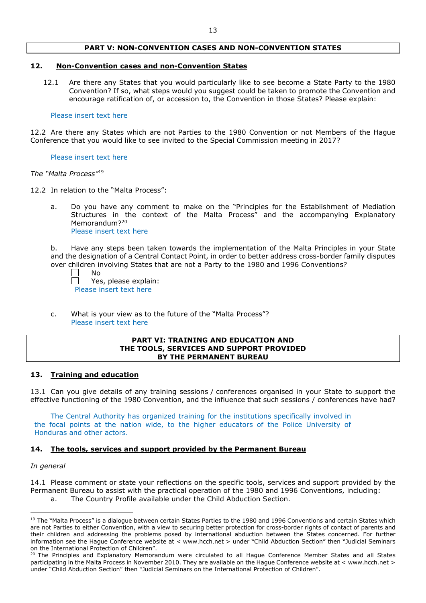## **PART V: NON-CONVENTION CASES AND NON-CONVENTION STATES**

### **12. Non-Convention cases and non-Convention States**

12.1 Are there any States that you would particularly like to see become a State Party to the 1980 Convention? If so, what steps would you suggest could be taken to promote the Convention and encourage ratification of, or accession to, the Convention in those States? Please explain:

#### Please insert text here

12.2 Are there any States which are not Parties to the 1980 Convention or not Members of the Hague Conference that you would like to see invited to the Special Commission meeting in 2017?

#### Please insert text here

#### *The "Malta Process"*<sup>19</sup>

- 12.2 In relation to the "Malta Process":
	- a. Do you have any comment to make on the "Principles for the Establishment of Mediation Structures in the context of the Malta Process" and the accompanying Explanatory Memorandum?<sup>20</sup> Please insert text here

b. Have any steps been taken towards the implementation of the Malta Principles in your State and the designation of a Central Contact Point, in order to better address cross-border family disputes over children involving States that are not a Party to the 1980 and 1996 Conventions?

No

Yes, please explain: Please insert text here

c. What is your view as to the future of the "Malta Process"? Please insert text here

#### **PART VI: TRAINING AND EDUCATION AND THE TOOLS, SERVICES AND SUPPORT PROVIDED BY THE PERMANENT BUREAU**

## **13. Training and education**

13.1 Can you give details of any training sessions / conferences organised in your State to support the effective functioning of the 1980 Convention, and the influence that such sessions / conferences have had?

The Central Authority has organized training for the institutions specifically involved in the focal points at the nation wide, to the higher educators of the Police University of Honduras and other actors.

### **14. The tools, services and support provided by the Permanent Bureau**

### *In general*

 $\overline{a}$ 

14.1 Please comment or state your reflections on the specific tools, services and support provided by the Permanent Bureau to assist with the practical operation of the 1980 and 1996 Conventions, including:

a. The Country Profile available under the Child Abduction Section.

<sup>&</sup>lt;sup>19</sup> The "Malta Process" is a dialogue between certain States Parties to the 1980 and 1996 Conventions and certain States which are not Parties to either Convention, with a view to securing better protection for cross-border rights of contact of parents and their children and addressing the problems posed by international abduction between the States concerned. For further information see the Hague Conference website at < www.hcch.net > under "Child Abduction Section" then "Judicial Seminars on the International Protection of Children".

<sup>&</sup>lt;sup>20</sup> The Principles and Explanatory Memorandum were circulated to all Hague Conference Member States and all States participating in the Malta Process in November 2010. They are available on the Hague Conference website at < www.hcch.net > under "Child Abduction Section" then "Judicial Seminars on the International Protection of Children".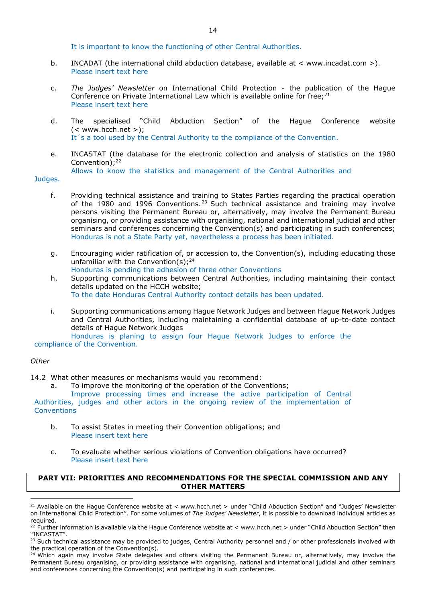It is important to know the functioning of other Central Authorities.

- b. INCADAT (the international child abduction database, available at < www.incadat.com >). Please insert text here
- c. *The Judges' Newsletter* on International Child Protection the publication of the Hague Conference on Private International Law which is available online for free; $^{21}$ Please insert text here
- d. The specialised "Child Abduction Section" of the Hague Conference website  $(<$  www.hcch.net >); It´s a tool used by the Central Authority to the compliance of the Convention.
- e. INCASTAT (the database for the electronic collection and analysis of statistics on the 1980 Convention);<sup>22</sup> Allows to know the statistics and management of the Central Authorities and

Judges.

- f. Providing technical assistance and training to States Parties regarding the practical operation of the 1980 and 1996 Conventions.<sup>23</sup> Such technical assistance and training may involve persons visiting the Permanent Bureau or, alternatively, may involve the Permanent Bureau organising, or providing assistance with organising, national and international judicial and other seminars and conferences concerning the Convention(s) and participating in such conferences; Honduras is not a State Party yet, nevertheless a process has been initiated.
- g. Encouraging wider ratification of, or accession to, the Convention(s), including educating those unfamiliar with the Convention(s); $24$ Honduras is pending the adhesion of three other Conventions
- h. Supporting communications between Central Authorities, including maintaining their contact details updated on the HCCH website; To the date Honduras Central Authority contact details has been updated.
- i. Supporting communications among Hague Network Judges and between Hague Network Judges and Central Authorities, including maintaining a confidential database of up-to-date contact details of Hague Network Judges

Honduras is planing to assign four Hague Network Judges to enforce the compliance of the Convention.

### *Other*

 $\overline{a}$ 

14.2 What other measures or mechanisms would you recommend:

a. To improve the monitoring of the operation of the Conventions;

Improve processing times and increase the active participation of Central Authorities, judges and other actors in the ongoing review of the implementation of Conventions

- b. To assist States in meeting their Convention obligations; and Please insert text here
- c. To evaluate whether serious violations of Convention obligations have occurred? Please insert text here

## **PART VII: PRIORITIES AND RECOMMENDATIONS FOR THE SPECIAL COMMISSION AND ANY OTHER MATTERS**

<sup>&</sup>lt;sup>21</sup> Available on the Hague Conference website at < www.hcch.net > under "Child Abduction Section" and "Judges' Newsletter on International Child Protection". For some volumes of *The Judges' Newsletter*, it is possible to download individual articles as required.

<sup>&</sup>lt;sup>22</sup> Further information is available via the Hague Conference website at < www.hcch.net > under "Child Abduction Section" then "INCASTAT".

<sup>&</sup>lt;sup>23</sup> Such technical assistance may be provided to judges, Central Authority personnel and / or other professionals involved with the practical operation of the Convention(s).

 $24$  Which again may involve State delegates and others visiting the Permanent Bureau or, alternatively, may involve the Permanent Bureau organising, or providing assistance with organising, national and international judicial and other seminars and conferences concerning the Convention(s) and participating in such conferences.